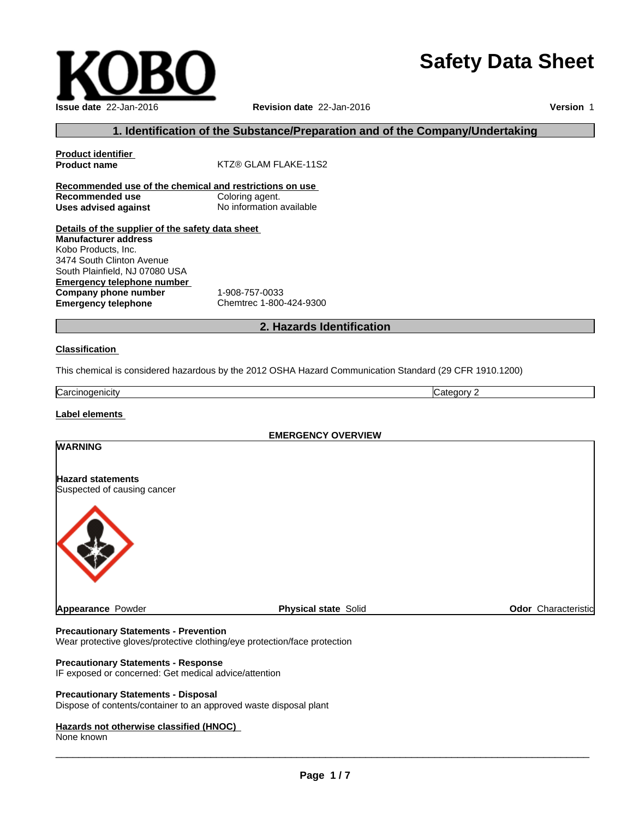# **Safety Data Sheet**

| <b>Issue date 22-Jan-2016</b> |
|-------------------------------|

# **Issue date** 22-Jan-2016 **Revision date** 22-Jan-2016 **Version** 1

## **1. Identification of the Substance/Preparation and of the Company/Undertaking**

| KTZ® GLAM FLAKE-11S2                                    |
|---------------------------------------------------------|
| Recommended use of the chemical and restrictions on use |
| Coloring agent.                                         |
| No information available                                |
| Details of the supplier of the safety data sheet        |
|                                                         |
|                                                         |
|                                                         |
|                                                         |
|                                                         |
| 1-908-757-0033                                          |
| Chemtrec 1-800-424-9300                                 |
|                                                         |

# **2. Hazards Identification**

#### **Classification**

This chemical is considered hazardous by the 2012 OSHA Hazard Communication Standard (29 CFR 1910.1200)

**Carcinogenicity** Category 2

#### **Label elements**

**WARNING**

#### **EMERGENCY OVERVIEW**

# **Hazard statements**

Suspected of causing cancer



**Appearance** Powder **Physical state** Solid **Odor** Characteristic

#### **Precautionary Statements - Prevention**

Wear protective gloves/protective clothing/eye protection/face protection

#### **Precautionary Statements - Response**

IF exposed or concerned: Get medical advice/attention

#### **Precautionary Statements - Disposal**

Dispose of contents/container to an approved waste disposal plant

#### **Hazards not otherwise classified (HNOC)**

None known

 $\overline{\phantom{a}}$  ,  $\overline{\phantom{a}}$  ,  $\overline{\phantom{a}}$  ,  $\overline{\phantom{a}}$  ,  $\overline{\phantom{a}}$  ,  $\overline{\phantom{a}}$  ,  $\overline{\phantom{a}}$  ,  $\overline{\phantom{a}}$  ,  $\overline{\phantom{a}}$  ,  $\overline{\phantom{a}}$  ,  $\overline{\phantom{a}}$  ,  $\overline{\phantom{a}}$  ,  $\overline{\phantom{a}}$  ,  $\overline{\phantom{a}}$  ,  $\overline{\phantom{a}}$  ,  $\overline{\phantom{a}}$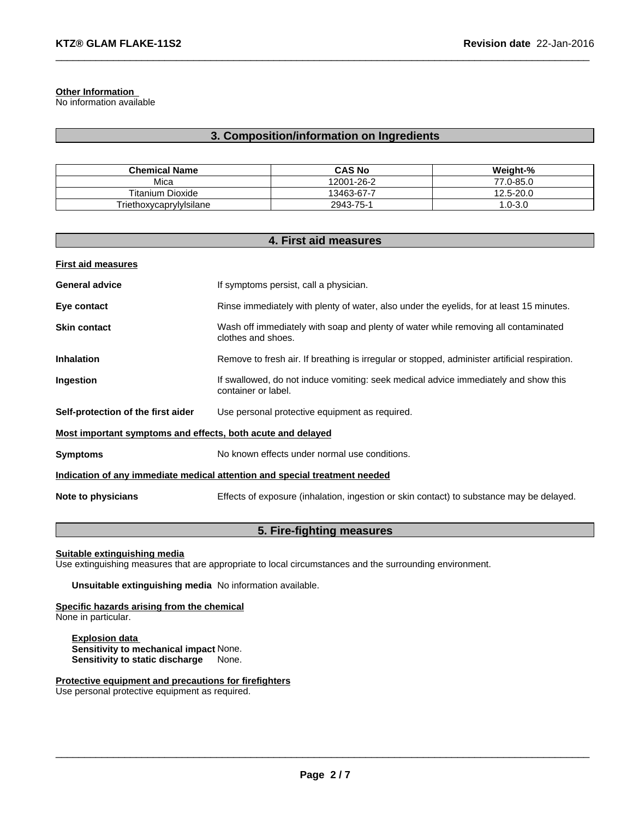### **Other Information**

No information available

# **3. Composition/information on Ingredients**

| <b>Chemical Name</b>    | <b>CAS No</b> | Weight-%   |
|-------------------------|---------------|------------|
| Mica                    | 12001-26-2    | 77.0-85.0  |
| <b>Titanium Dioxide</b> | 13463-67-7    | 12.5-20.0  |
| Triethoxycaprylylsilane | 2943-75-1     | $.0 - 3.0$ |

| 4. First aid measures                                                      |                                                                                                            |  |
|----------------------------------------------------------------------------|------------------------------------------------------------------------------------------------------------|--|
| <b>First aid measures</b>                                                  |                                                                                                            |  |
| <b>General advice</b>                                                      | If symptoms persist, call a physician.                                                                     |  |
| Eye contact                                                                | Rinse immediately with plenty of water, also under the eyelids, for at least 15 minutes.                   |  |
| <b>Skin contact</b>                                                        | Wash off immediately with soap and plenty of water while removing all contaminated<br>clothes and shoes.   |  |
| <b>Inhalation</b>                                                          | Remove to fresh air. If breathing is irregular or stopped, administer artificial respiration.              |  |
| Ingestion                                                                  | If swallowed, do not induce vomiting: seek medical advice immediately and show this<br>container or label. |  |
| Self-protection of the first aider                                         | Use personal protective equipment as required.                                                             |  |
| Most important symptoms and effects, both acute and delayed                |                                                                                                            |  |
| <b>Symptoms</b>                                                            | No known effects under normal use conditions.                                                              |  |
| Indication of any immediate medical attention and special treatment needed |                                                                                                            |  |
| Note to physicians                                                         | Effects of exposure (inhalation, ingestion or skin contact) to substance may be delayed.                   |  |

# **5. Fire-fighting measures**

#### **Suitable extinguishing media**

Use extinguishing measures that are appropriate to local circumstances and the surrounding environment.

**Unsuitable extinguishing media** No information available.

# **Specific hazards arising from the chemical**

None in particular.

**Explosion data Sensitivity to mechanical impact** None. **Sensitivity to static discharge** None.

**Protective equipment and precautions for firefighters** Use personal protective equipment as required.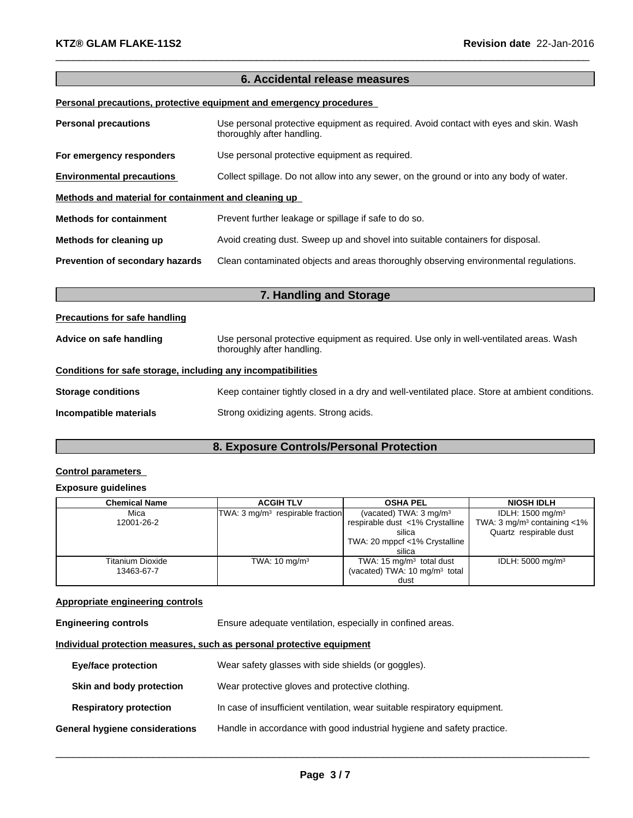# **6. Accidental release measures**

#### **Personal precautions, protective equipment and emergency procedures**

| <b>Personal precautions</b>                          | Use personal protective equipment as required. Avoid contact with eyes and skin. Wash<br>thoroughly after handling. |  |
|------------------------------------------------------|---------------------------------------------------------------------------------------------------------------------|--|
| For emergency responders                             | Use personal protective equipment as required.                                                                      |  |
| <b>Environmental precautions</b>                     | Collect spillage. Do not allow into any sewer, on the ground or into any body of water.                             |  |
| Methods and material for containment and cleaning up |                                                                                                                     |  |
| <b>Methods for containment</b>                       | Prevent further leakage or spillage if safe to do so.                                                               |  |
| Methods for cleaning up                              | Avoid creating dust. Sweep up and shovel into suitable containers for disposal.                                     |  |
| Prevention of secondary hazards                      | Clean contaminated objects and areas thoroughly observing environmental regulations.                                |  |

|                                                              | 7. Handling and Storage                                                                                              |
|--------------------------------------------------------------|----------------------------------------------------------------------------------------------------------------------|
| Precautions for safe handling                                |                                                                                                                      |
| Advice on safe handling                                      | Use personal protective equipment as required. Use only in well-ventilated areas. Wash<br>thoroughly after handling. |
| Conditions for safe storage, including any incompatibilities |                                                                                                                      |
| <b>Storage conditions</b>                                    | Keep container tightly closed in a dry and well-ventilated place. Store at ambient conditions.                       |
| Incompatible materials                                       | Strong oxidizing agents. Strong acids.                                                                               |

# **8. Exposure Controls/Personal Protection**

# **Control parameters**

#### **Exposure guidelines**

| Chemical Name    | <b>ACGIH TLV</b>                   | <b>OSHA PEL</b>                           | <b>NIOSH IDLH</b>                            |
|------------------|------------------------------------|-------------------------------------------|----------------------------------------------|
| Mica             | $TWA: 3 mg/m3$ respirable fraction | (vacated) TWA: $3 \text{ mg/m}^3$         | IDLH: 1500 mg/m <sup>3</sup>                 |
| 12001-26-2       |                                    | respirable dust <1% Crystalline           | TWA: $3 \text{ mg/m}^3$ containing $\lt 1\%$ |
|                  |                                    | silica                                    | Quartz respirable dust                       |
|                  |                                    | TWA: 20 mppcf <1% Crystalline             |                                              |
|                  |                                    | silica                                    |                                              |
| Titanium Dioxide | TWA: $10 \text{ mg/m}^3$           | TWA: 15 $mg/m3$ total dust                | IDLH: 5000 mg/m <sup>3</sup>                 |
| 13463-67-7       |                                    | (vacated) TWA: 10 mg/m <sup>3</sup> total |                                              |
|                  |                                    | dust                                      |                                              |

### **Appropriate engineering controls**

**Engineering controls** Ensure adequate ventilation, especially in confined areas.

#### **Individual protection measures, such as personal protective equipment**

| <b>Eye/face protection</b>     | Wear safety glasses with side shields (or goggles).                       |
|--------------------------------|---------------------------------------------------------------------------|
| Skin and body protection       | Wear protective gloves and protective clothing.                           |
| <b>Respiratory protection</b>  | In case of insufficient ventilation, wear suitable respiratory equipment. |
| General hygiene considerations | Handle in accordance with good industrial hygiene and safety practice.    |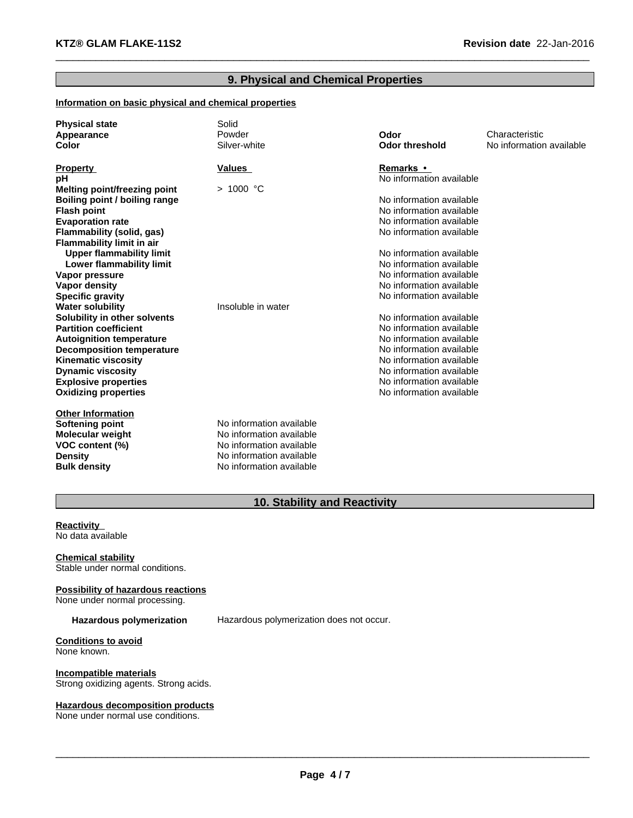# **9. Physical and Chemical Properties**

#### **Information on basic physical and chemical properties**

| <b>Physical state</b><br>Appearance<br>Color | Solid<br>Powder<br>Silver-white | Odor<br><b>Odor threshold</b> | Characteristic<br>No information available |
|----------------------------------------------|---------------------------------|-------------------------------|--------------------------------------------|
|                                              |                                 |                               |                                            |
| <b>Property</b>                              | Values                          | <b>Remarks •</b>              |                                            |
| рH                                           |                                 | No information available      |                                            |
| Melting point/freezing point                 | > 1000 °C                       |                               |                                            |
| Boiling point / boiling range                |                                 | No information available      |                                            |
| <b>Flash point</b>                           |                                 | No information available      |                                            |
| <b>Evaporation rate</b>                      |                                 | No information available      |                                            |
| Flammability (solid, gas)                    |                                 | No information available      |                                            |
| <b>Flammability limit in air</b>             |                                 |                               |                                            |
| <b>Upper flammability limit</b>              |                                 | No information available      |                                            |
| Lower flammability limit                     |                                 | No information available      |                                            |
| Vapor pressure                               |                                 | No information available      |                                            |
| Vapor density                                |                                 | No information available      |                                            |
| <b>Specific gravity</b>                      |                                 | No information available      |                                            |
| <b>Water solubility</b>                      | Insoluble in water              |                               |                                            |
| Solubility in other solvents                 |                                 | No information available      |                                            |
| <b>Partition coefficient</b>                 |                                 | No information available      |                                            |
| <b>Autoignition temperature</b>              |                                 | No information available      |                                            |
| <b>Decomposition temperature</b>             |                                 | No information available      |                                            |
| <b>Kinematic viscosity</b>                   |                                 | No information available      |                                            |
| <b>Dynamic viscosity</b>                     |                                 | No information available      |                                            |
| <b>Explosive properties</b>                  |                                 | No information available      |                                            |
| <b>Oxidizing properties</b>                  |                                 | No information available      |                                            |
| <b>Other Information</b>                     |                                 |                               |                                            |
| Softening point                              | No information available        |                               |                                            |
| <b>Molecular weight</b>                      | No information available        |                               |                                            |
| VOC content (%)                              | No information available        |                               |                                            |
| <b>Density</b>                               | No information available        |                               |                                            |
| <b>Bulk density</b>                          | No information available        |                               |                                            |

# **10. Stability and Reactivity**

**Reactivity**<br>No data available<br>**Chemical stability** No data available

Stable under normal conditions.

#### **Possibility of hazardous reactions**

None under normal processing.

**Hazardous polymerization** Hazardous polymerization does not occur.

**Conditions to avoid** None known.

**Incompatible materials** Strong oxidizing agents. Strong acids.

#### **Hazardous decomposition products**

None under normal use conditions.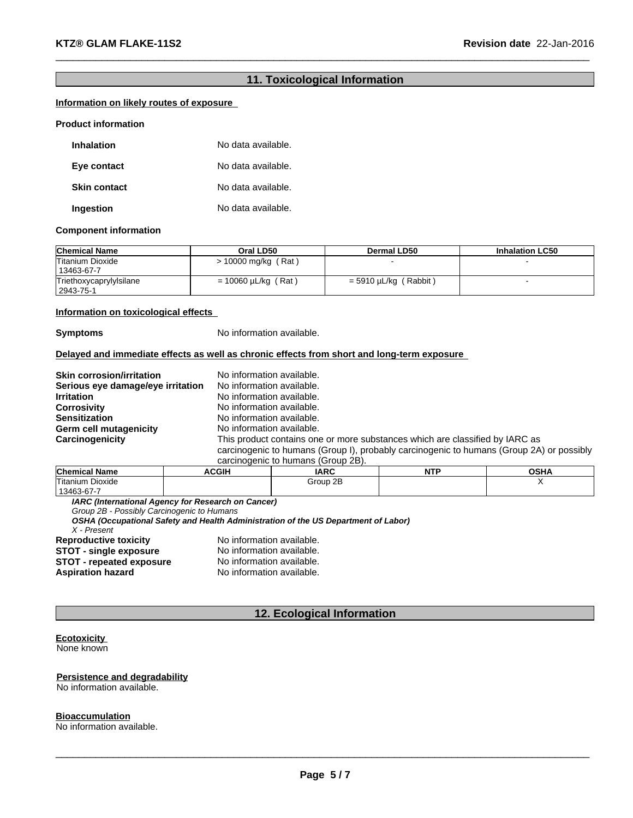# **11. Toxicological Information**

# **Information on likely routes of exposure**<br>Product information

| <b>Inhalation</b>   | No data available. |
|---------------------|--------------------|
| Eye contact         | No data available. |
| <b>Skin contact</b> | No data available. |
| Ingestion           | No data available. |

#### **Component information**

| <b>Chemical Name</b>                 | Oral LD50                | Dermal LD50               | <b>Inhalation LC50</b> |
|--------------------------------------|--------------------------|---------------------------|------------------------|
| Titanium Dioxide<br>13463-67-7       | > 10000 mg/kg (Rat)      |                           |                        |
| Triethoxycaprylylsilane<br>2943-75-1 | $= 10060 \mu L/kg$ (Rat) | Rabbit)<br>= 5910 µL/kg ( |                        |

# **Information on toxicological effects**<br>**Symptoms** No information available.

#### **Delayed and immediate effects as well as chronic effects from short and long-term exposure**

| <b>Skin corrosion/irritation</b>  | No information available.                                                                |
|-----------------------------------|------------------------------------------------------------------------------------------|
| Serious eye damage/eye irritation | No information available.                                                                |
| <b>Irritation</b>                 | No information available.                                                                |
| <b>Corrosivity</b>                | No information available.                                                                |
| <b>Sensitization</b>              | No information available.                                                                |
| Germ cell mutagenicity            | No information available.                                                                |
| Carcinogenicity                   | This product contains one or more substances which are classified by IARC as             |
|                                   | carcinogenic to humans (Group I), probably carcinogenic to humans (Group 2A) or possibly |
|                                   | carcinogenic to humans (Group 2B).                                                       |

| Chemical<br>.<br>Name | <b>ACGIH</b> | <b>IARC</b> | <b>NTF</b><br>. | <b>OCUA</b><br>vəna |
|-----------------------|--------------|-------------|-----------------|---------------------|
| Titanium Dioxide      |              | Group 2B    |                 |                     |
| $1346367 -$           |              |             |                 |                     |

*IARC (International Agency for Research on Cancer)*

*Group 2B - Possibly Carcinogenic to Humans*

*OSHA (Occupational Safety and Health Administration of the US Department of Labor)*

*X - Present*

**Reproductive toxicity** No information available.<br>**STOT - single exposure** No information available. **STOT - single exposure** No information available. **STOT - repeated exposure** No information available.

**Aspiration hazard** No information available.

#### **12. Ecological Information**

#### **Ecotoxicity**  None known

**Persistence and degradability** No information available.

**Bioaccumulation**

No information available.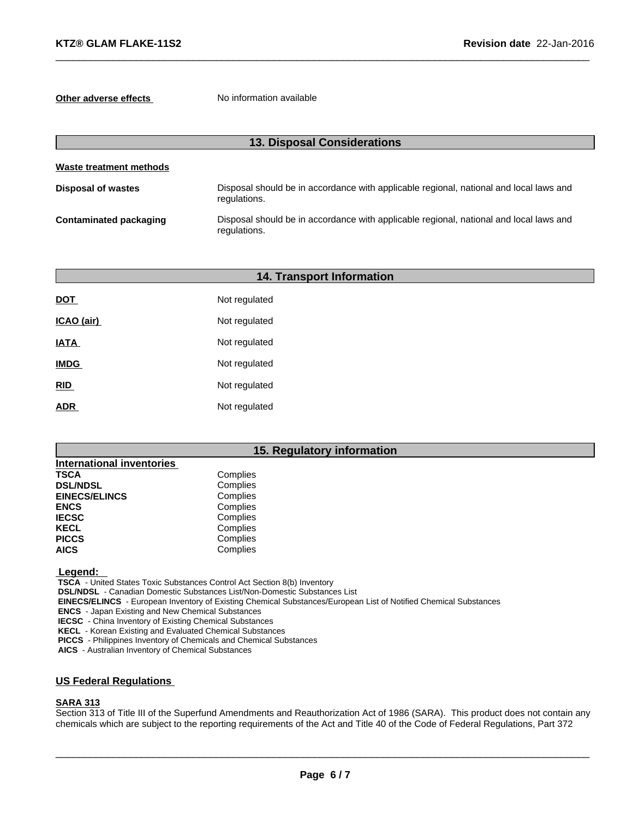**Other adverse effects** No information available

| <b>13. Disposal Considerations</b> |                                                                                                        |  |
|------------------------------------|--------------------------------------------------------------------------------------------------------|--|
| Waste treatment methods            |                                                                                                        |  |
| <b>Disposal of wastes</b>          | Disposal should be in accordance with applicable regional, national and local laws and<br>regulations. |  |
| Contaminated packaging             | Disposal should be in accordance with applicable regional, national and local laws and<br>regulations. |  |

|             | <b>14. Transport Information</b> |  |
|-------------|----------------------------------|--|
| <b>DOT</b>  | Not regulated                    |  |
| ICAO (air)  | Not regulated                    |  |
| <b>IATA</b> | Not regulated                    |  |
| <b>IMDG</b> | Not regulated                    |  |
| RID         | Not regulated                    |  |
| <b>ADR</b>  | Not regulated                    |  |

# **15. Regulatory information**

| <b>International inventories</b> |          |
|----------------------------------|----------|
| <b>TSCA</b>                      | Complies |
| <b>DSL/NDSL</b>                  | Complies |
| <b>EINECS/ELINCS</b>             | Complies |
| <b>ENCS</b>                      | Complies |
| <b>IECSC</b>                     | Complies |
| <b>KECL</b>                      | Complies |
| <b>PICCS</b>                     | Complies |
| <b>AICS</b>                      | Complies |

 **Legend:** 

 **TSCA** - United States Toxic Substances Control Act Section 8(b) Inventory

 **DSL/NDSL** - Canadian Domestic Substances List/Non-Domestic Substances List

 **EINECS/ELINCS** - European Inventory of Existing Chemical Substances/European List of Notified Chemical Substances

 **ENCS** - Japan Existing and New Chemical Substances

 **IECSC** - China Inventory of Existing Chemical Substances

 **KECL** - Korean Existing and Evaluated Chemical Substances

 **PICCS** - Philippines Inventory of Chemicals and Chemical Substances

 **AICS** - Australian Inventory of Chemical Substances

# **US Federal Regulations**

#### **SARA 313**

Section 313 of Title III of the Superfund Amendments and Reauthorization Act of 1986 (SARA). This product does not contain any chemicals which are subject to the reporting requirements of the Act and Title 40 of the Code of Federal Regulations, Part 372